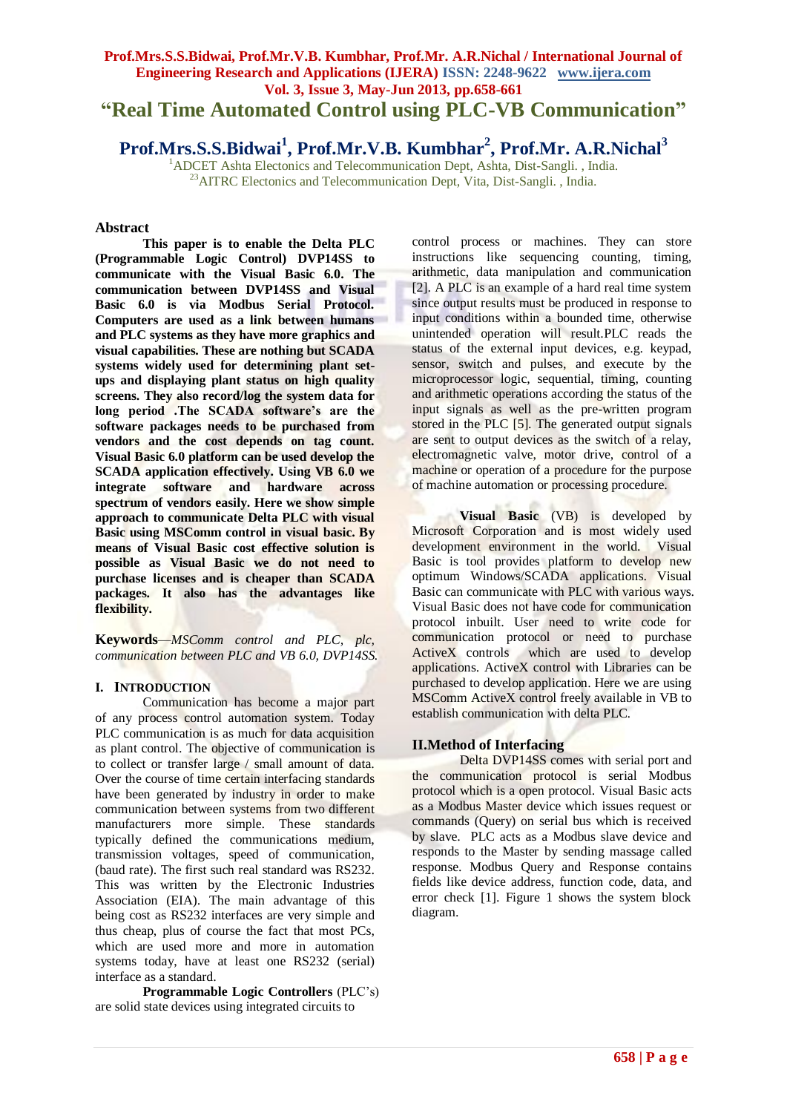## **Prof.Mrs.S.S.Bidwai, Prof.Mr.V.B. Kumbhar, Prof.Mr. A.R.Nichal / International Journal of Engineering Research and Applications (IJERA) ISSN: 2248-9622 www.ijera.com Vol. 3, Issue 3, May-Jun 2013, pp.658-661 "Real Time Automated Control using PLC-VB Communication"**

**Prof.Mrs.S.S.Bidwai<sup>1</sup> , Prof.Mr.V.B. Kumbhar<sup>2</sup> , Prof.Mr. A.R.Nichal<sup>3</sup>**

<sup>1</sup>ADCET Ashta Electonics and Telecommunication Dept, Ashta, Dist-Sangli., India.  $^{23}$ AITRC Electonics and Telecommunication Dept, Vita, Dist-Sangli. , India.

## **Abstract**

**This paper is to enable the Delta PLC (Programmable Logic Control) DVP14SS to communicate with the Visual Basic 6.0. The communication between DVP14SS and Visual Basic 6.0 is via Modbus Serial Protocol. Computers are used as a link between humans and PLC systems as they have more graphics and visual capabilities. These are nothing but SCADA systems widely used for determining plant setups and displaying plant status on high quality screens. They also record/log the system data for long period .The SCADA software's are the software packages needs to be purchased from vendors and the cost depends on tag count. Visual Basic 6.0 platform can be used develop the SCADA application effectively. Using VB 6.0 we integrate software and hardware across spectrum of vendors easily. Here we show simple approach to communicate Delta PLC with visual Basic using MSComm control in visual basic. By means of Visual Basic cost effective solution is possible as Visual Basic we do not need to purchase licenses and is cheaper than SCADA packages. It also has the advantages like flexibility.**

**Keywords***—MSComm control and PLC, plc, communication between PLC and VB 6.0, DVP14SS.*

#### **I. INTRODUCTION**

Communication has become a major part of any process control automation system. Today PLC communication is as much for data acquisition as plant control. The objective of communication is to collect or transfer large / small amount of data. Over the course of time certain interfacing standards have been generated by industry in order to make communication between systems from two different manufacturers more simple. These standards typically defined the communications medium, transmission voltages, speed of communication, (baud rate). The first such real standard was RS232. This was written by the Electronic Industries Association (EIA). The main advantage of this being cost as RS232 interfaces are very simple and thus cheap, plus of course the fact that most PCs, which are used more and more in automation systems today, have at least one RS232 (serial) interface as a standard.

**Programmable Logic Controllers** (PLC's) are solid state devices using integrated circuits to

control process or machines. They can store instructions like sequencing counting, timing, arithmetic, data manipulation and communication [2]. A PLC is an example of a hard real time system since output results must be produced in response to input conditions within a bounded time, otherwise unintended operation will result.PLC reads the status of the external input devices, e.g. keypad, sensor, switch and pulses, and execute by the microprocessor logic, sequential, timing, counting and arithmetic operations according the status of the input signals as well as the pre-written program stored in the PLC [5]. The generated output signals are sent to output devices as the switch of a relay, electromagnetic valve, motor drive, control of a machine or operation of a procedure for the purpose of machine automation or processing procedure.

**Visual Basic** (VB) is developed by Microsoft Corporation and is most widely used development environment in the world. Visual Basic is tool provides platform to develop new optimum Windows/SCADA applications. Visual Basic can communicate with PLC with various ways. Visual Basic does not have code for communication protocol inbuilt. User need to write code for communication protocol or need to purchase ActiveX controls which are used to develop applications. ActiveX control with Libraries can be purchased to develop application. Here we are using MSComm ActiveX control freely available in VB to establish communication with delta PLC.

## **II.Method of Interfacing**

Delta DVP14SS comes with serial port and the communication protocol is serial Modbus protocol which is a open protocol. Visual Basic acts as a Modbus Master device which issues request or commands (Query) on serial bus which is received by slave. PLC acts as a Modbus slave device and responds to the Master by sending massage called response. Modbus Query and Response contains fields like device address, function code, data, and error check [1]. Figure 1 shows the system block diagram.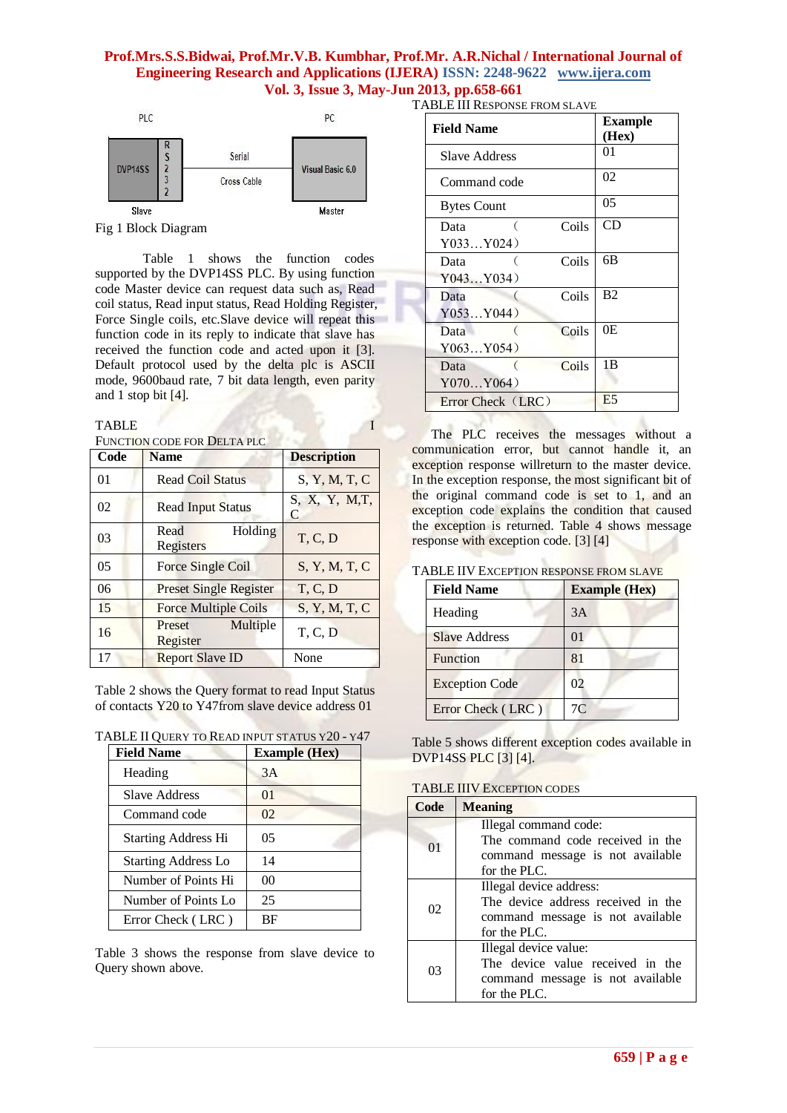#### **Prof.Mrs.S.S.Bidwai, Prof.Mr.V.B. Kumbhar, Prof.Mr. A.R.Nichal / International Journal of Engineering Research and Applications (IJERA) ISSN: 2248-9622 www.ijera.com Vol. 3, Issue 3, May-Jun 2013, pp.658-661** TABLE III RESPONSE FROM SLAVE



Fig 1 Block Diagram

Table 1 shows the function codes supported by the DVP14SS PLC. By using function code Master device can request data such as, Read coil status, Read input status, Read Holding Register, Force Single coils, etc.Slave device will repeat this function code in its reply to indicate that slave has received the function code and acted upon it [3]. Default protocol used by the delta plc is ASCII mode, 9600baud rate, 7 bit data length, even parity and 1 stop bit [4].

#### TABLE **I**

FUNCTION CODE FOR DELTA PLC

| Code           | <b>Name</b>                    | <b>Description</b>  |
|----------------|--------------------------------|---------------------|
| 01             | <b>Read Coil Status</b>        | S, Y, M, T, C       |
| 02             | <b>Read Input Status</b>       | S, X, Y, M, T,<br>C |
| 03             | Holding<br>Read<br>Registers   | T, C, D             |
| 0 <sub>5</sub> | <b>Force Single Coil</b>       | S, Y, M, T, C       |
| 06             | <b>Preset Single Register</b>  | T, C, D             |
| 15             | <b>Force Multiple Coils</b>    | S, Y, M, T, C       |
| 16             | Multiple<br>Preset<br>Register | T, C, D             |
| 17             | <b>Report Slave ID</b>         | None                |

Table 2 shows the Query format to read Input Status of contacts Y20 to Y47from slave device address 01

TABLE II QUERY TO READ INPUT STATUS Y20 - Y47

| <b>Field Name</b>          | <b>Example (Hex)</b> |
|----------------------------|----------------------|
| Heading                    | 3A                   |
| Slave Address              | $\Omega$             |
| Command code               | 02                   |
| <b>Starting Address Hi</b> | 05                   |
| <b>Starting Address Lo</b> | 14                   |
| Number of Points Hi        | 00                   |
| Number of Points Lo        | 25                   |
| Error Check (LRC)          | ВF                   |

Table 3 shows the response from slave device to Query shown above.

| <b>Field Name</b>  |       | <b>Example</b><br>(Hex) |
|--------------------|-------|-------------------------|
| Slave Address      |       | 01                      |
| Command code       |       | 02                      |
| <b>Bytes Count</b> |       | 05                      |
| Data               | Coils | CD                      |
| Y033Y024)          |       |                         |
| Data               | Coils | 6B                      |
| Y043Y034)          |       |                         |
| Data               | Coils | <b>B2</b>               |
| Y053Y044)          |       |                         |
| Data               | Coils | 0E                      |
| Y063Y054)          |       |                         |
| Data               | Coils | 1B                      |
| Y070Y064)          |       |                         |
| Error Check (LRC)  |       | E <sub>5</sub>          |

The PLC receives the messages without a communication error, but cannot handle it, an exception response willreturn to the master device. In the exception response, the most significant bit of the original command code is set to 1, and an exception code explains the condition that caused the exception is returned. Table 4 shows message response with exception code. [3] [4]

#### TABLE IIV EXCEPTION RESPONSE FROM SLAVE

| <b>Field Name</b>     | <b>Example (Hex)</b> |  |
|-----------------------|----------------------|--|
| Heading               | 3A                   |  |
| <b>Slave Address</b>  | $\Omega$             |  |
| Function              | 81                   |  |
| <b>Exception Code</b> | 02                   |  |
| Error Check (LRC)     | 7 <sup>C</sup>       |  |

Table 5 shows different exception codes available in DVP14SS PLC [3] [4].

TABLE IIIV EXCEPTION CODES

| Code    | <b>Meaning</b>                     |
|---------|------------------------------------|
|         | Illegal command code:              |
| $^{O1}$ | The command code received in the   |
|         | command message is not available   |
|         | for the PLC.                       |
| 02      | Illegal device address:            |
|         | The device address received in the |
|         | command message is not available   |
|         | for the PLC.                       |
|         | Illegal device value:              |
| 03      | The device value received in the   |
|         | command message is not available   |
|         | for the PLC.                       |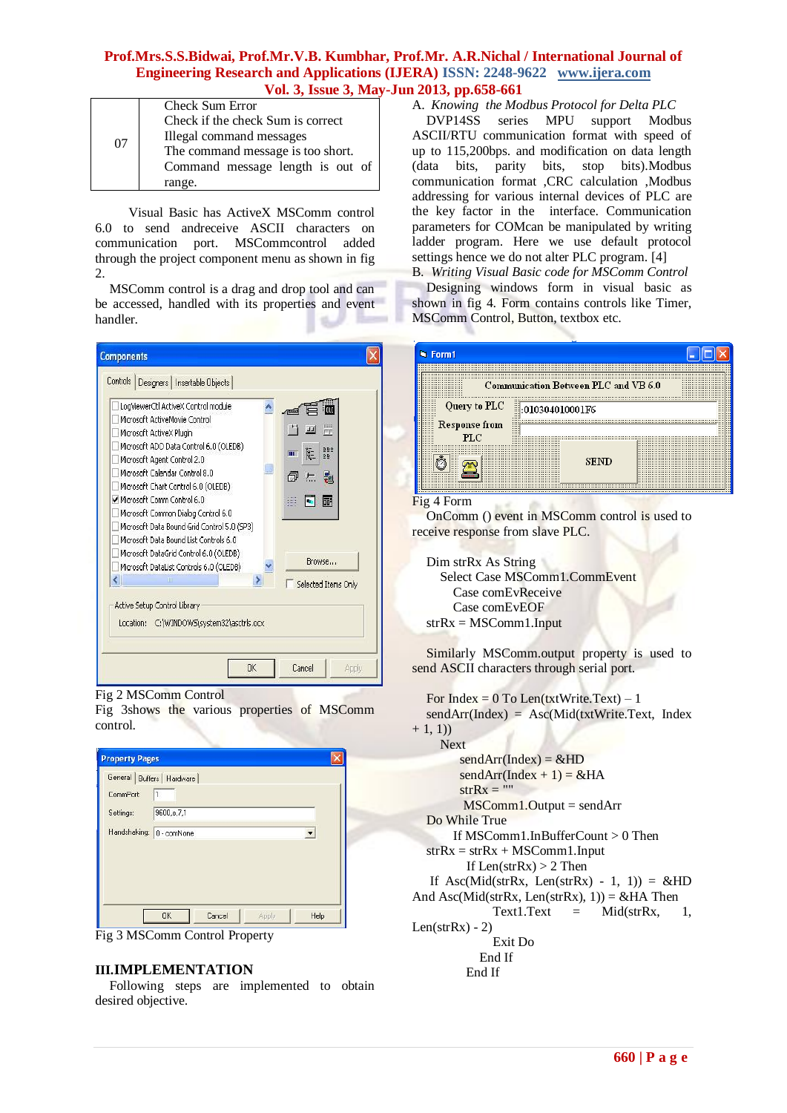## **Prof.Mrs.S.S.Bidwai, Prof.Mr.V.B. Kumbhar, Prof.Mr. A.R.Nichal / International Journal of Engineering Research and Applications (IJERA) ISSN: 2248-9622 www.ijera.com Vol. 3, Issue 3, May-Jun 2013, pp.658-661**

|    | <b>Check Sum Error</b>            |  |  |
|----|-----------------------------------|--|--|
| 07 | Check if the check Sum is correct |  |  |
|    | Illegal command messages          |  |  |
|    | The command message is too short. |  |  |
|    | Command message length is out of  |  |  |
|    | range.                            |  |  |

Visual Basic has ActiveX MSComm control 6.0 to send andreceive ASCII characters on communication port. MSCommcontrol added through the project component menu as shown in fig 2.

MSComm control is a drag and drop tool and can be accessed, handled with its properties and event handler.



#### Fig 2 MSComm Control

Fig 3shows the various properties of MSComm control.

| <b>Property Pages</b>      |            |        |       |      |  |
|----------------------------|------------|--------|-------|------|--|
| General Buffers   Hardware |            |        |       |      |  |
| CommPort:                  | 1          |        |       |      |  |
| Settings:                  | 9600,e,7,1 |        |       |      |  |
| Handshaking: 0 - comNone   |            |        |       |      |  |
|                            |            |        |       |      |  |
|                            |            |        |       |      |  |
|                            |            |        |       |      |  |
|                            |            |        |       |      |  |
|                            | <b>OK</b>  | Cancel | Apply | Help |  |



#### **III.IMPLEMENTATION**

Following steps are implemented to obtain desired objective.

A. *Knowing the Modbus Protocol for Delta PLC* DVP14SS series MPU ASCII/RTU communication format with speed of up to 115,200bps. and modification on data length (data bits, parity bits, stop bits).Modbus communication format ,CRC calculation ,Modbus addressing for various internal devices of PLC are the key factor in the interface. Communication parameters for COMcan be manipulated by writing ladder program. Here we use default protocol settings hence we do not alter PLC program. [4] B. *Writing Visual Basic code for MSComm Control*

Designing windows form in visual basic as shown in fig 4. Form contains controls like Timer, MSComm Control, Button, textbox etc.

|                                                                                           | Communication Between PLC and VB 6.0 |                          |
|-------------------------------------------------------------------------------------------|--------------------------------------|--------------------------|
| <br><br>Query to PLC<br>Response from<br>.<br>.<br><br>.<br>.<br><br>.<br><br><br>1.1.1.1 | <br>0.10304010001F6                  | 1.11<br><b>A 6 1</b><br> |
| <b>A 4 6 6</b><br><br><br>PLC                                                             | 1113<br>1.11<br><br>                 | <br><b>A 6 1</b><br>     |
| 1.1.1                                                                                     | <b>SEND</b>                          |                          |

#### Fig 4 Form

OnComm () event in MSComm control is used to receive response from slave PLC.

Dim strRx As String Select Case MSComm1.CommEvent Case comEvReceive Case comEvEOF  $strRx = MSComm1. Input$ 

Similarly MSComm.output property is used to send ASCII characters through serial port.

For Index =  $0$  To Len(txtWrite.Text) – 1 sendArr(Index) = Asc(Mid(txtWrite.Text, Index  $+ 1, 1)$  Next  $sendArr(Index) = & HD$  $sendArr(Index + 1) = & AHA$  $strRx = ""$ MSComm1.Output = sendArr Do While True If MSComm1.InBufferCount > 0 Then  $strRx = strRx + MSComm1. Input$ If Len $(\text{strRx}) > 2$  Then If Asc(Mid(strRx, Len(strRx) - 1, 1)) = &HD And Asc(Mid(strRx, Len(strRx), 1)) = &HA Then Text1.Text  $=$  Mid(strRx, 1, Len $(strRx) - 2)$  Exit Do End If End If